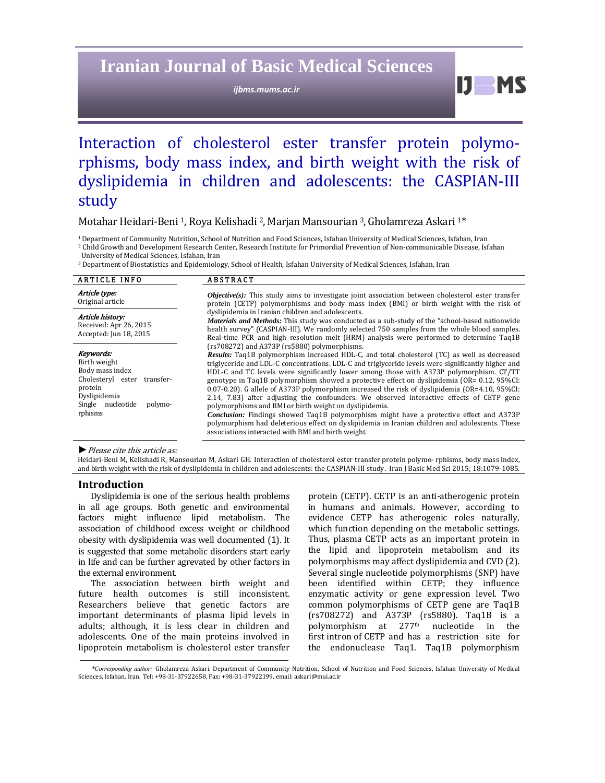# **Iranian Journal of Basic Medical Sciences**

*ijbms.mums.ac.ir*

 $IJ$   $MS$ 

# Interaction of cholesterol ester transfer protein polymorphisms, body mass index, and birth weight with the risk of dyslipidemia in children and adolescents: the CASPIAN-III study

Motahar Heidari-Beni <sup>1</sup>, Roya Kelishadi <sup>2</sup>, Marjan Mansourian <sup>3</sup>, Gholamreza Askari <sup>1\*</sup>

<sup>1</sup> Department of Community Nutrition, School of Nutrition and Food Sciences, Isfahan University of Medical Sciences, Isfahan, Iran

<sup>2</sup> Child Growth and Development Research Center, Research Institute for Primordial Prevention of Non-communicable Disease, Isfahan University of Medical Sciences, Isfahan, Iran

<sup>3</sup> Department of Biostatistics and Epidemiology, School of Health, Isfahan University of Medical Sciences, Isfahan, Iran

| <b>ARTICLE INFO</b>                                                                                                                                  | <b>ABSTRACT</b>                                                                                                                                                                                                                                                                                                                                                                                                                                                                                                                                                                                                                                                                                                                                                                                                                                                                                                                                              |  |  |  |  |
|------------------------------------------------------------------------------------------------------------------------------------------------------|--------------------------------------------------------------------------------------------------------------------------------------------------------------------------------------------------------------------------------------------------------------------------------------------------------------------------------------------------------------------------------------------------------------------------------------------------------------------------------------------------------------------------------------------------------------------------------------------------------------------------------------------------------------------------------------------------------------------------------------------------------------------------------------------------------------------------------------------------------------------------------------------------------------------------------------------------------------|--|--|--|--|
| Article type:<br>Original article                                                                                                                    | <b><i>Objective(s)</i></b> : This study aims to investigate joint association between cholesterol ester transfer<br>protein (CETP) polymorphisms and body mass index (BMI) or birth weight with the risk of                                                                                                                                                                                                                                                                                                                                                                                                                                                                                                                                                                                                                                                                                                                                                  |  |  |  |  |
| Article history:<br>Received: Apr 26, 2015<br>Accepted: Jun 18, 2015                                                                                 | dyslipidemia in Iranian children and adolescents.<br><b>Materials and Methods:</b> This study was conducted as a sub-study of the "school-based nationwide"<br>health survey" (CASPIAN-III). We randomly selected 750 samples from the whole blood samples.<br>Real-time PCR and high resolution melt (HRM) analysis were performed to determine Taq1B                                                                                                                                                                                                                                                                                                                                                                                                                                                                                                                                                                                                       |  |  |  |  |
| Keywords:<br>Birth weight<br>Body mass index<br>Cholesteryl ester<br>transfer-<br>protein<br>Dyslipidemia<br>Single nucleotide<br>polymo-<br>rphisms | (rs708272) and A373P (rs5880) polymorphisms.<br>Results: Taq1B polymorphism increased HDL-C, and total cholesterol (TC) as well as decreased<br>triglyceride and LDL-C concentrations. LDL-C and triglyceride levels were significantly higher and<br>HDL-C and TC levels were significantly lower among those with A373P polymorphism. CT/TT<br>genotype in Taq1B polymorphism showed a protective effect on dyslipidemia (OR= 0.12, 95%CI:<br>$(0.07-0.20)$ . G allele of A373P polymorphism increased the risk of dyslipidemia (OR=4.10, 95%CI:<br>2.14, 7.83) after adjusting the confounders. We observed interactive effects of CETP gene<br>polymorphisms and BMI or birth weight on dyslipidemia.<br>Conclusion: Findings showed Taq1B polymorphism might have a protective effect and A373P<br>polymorphism had deleterious effect on dyslipidemia in Iranian children and adolescents. These<br>associations interacted with BMI and birth weight. |  |  |  |  |

▶ *Please cite this article as:* 

Heidari-Beni M, Kelishadi R, Mansourian M, Askari GH. Interaction of cholesterol ester transfer protein polymo- rphisms, body mass index, and birth weight with the risk of dyslipidemia in children and adolescents: the CASPIAN-III study. Iran J Basic Med Sci 2015; 18:1079-1085.

### **Introduction**

Dyslipidemia is one of the serious health problems in all age groups. Both genetic and environmental factors might influence lipid metabolism. The association of childhood excess weight or childhood obesity with dyslipidemia was well documented (1). It is suggested that some metabolic disorders start early in life and can be further agrevated by other factors in the external environment.

The association between birth weight and future health outcomes is still inconsistent. Researchers believe that genetic factors are important determinants of plasma lipid levels in adults; although, it is less clear in children and adolescents. One of the main proteins involved in lipoprotein metabolism is cholesterol ester transfer

protein (CETP). CETP is an anti-atherogenic protein in humans and animals. However, according to evidence CETP has atherogenic roles naturally, which function depending on the metabolic settings. Thus, plasma CETP acts as an important protein in the lipid and lipoprotein metabolism and its polymorphisms may affect dyslipidemia and CVD (2). Several single nucleotide polymorphisms (SNP) have been identified within CETP; they influence enzymatic activity or gene expression level. Two common polymorphisms of CETP gene are Taq1B (rs708272) and A373P (rs5880). Taq1B is a polymorphism at  $277<sup>th</sup>$  nucleotide in the first intron of CETP and has a restriction site for the endonuclease Taq1. Taq1B polymorphism

\*Corresponding author: Gholamreza Askari. Department of Community Nutrition, School of Nutrition and Food Sciences, Isfahan University of Medical Sciences, Isfahan, Iran. Tel: +98-31-37922658, Fax: +98-31-37922199, email: askari@mui.ac.ir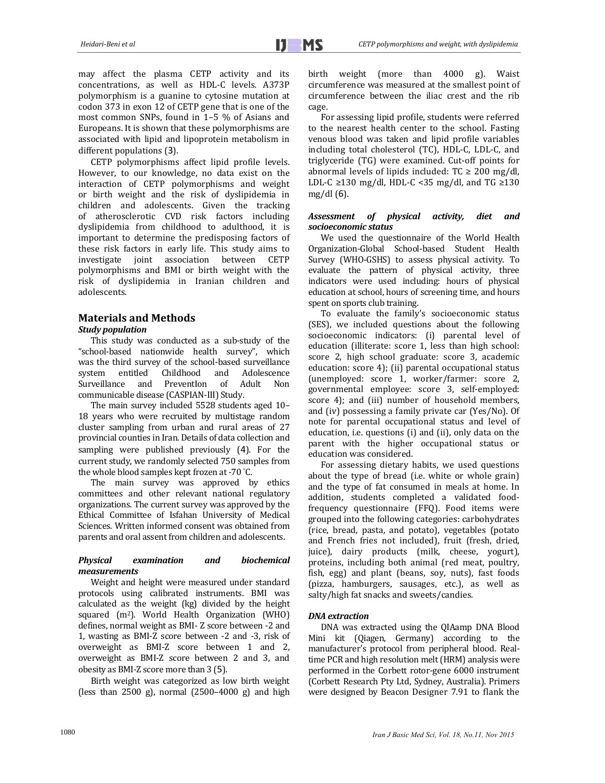may affect the plasma CETP activity and its concentrations, as well as HDL-C levels. A373P polymorphism is a guanine to cytosine mutation at codon 373 in exon 12 of CETP gene that is one of the most common SNPs, found in  $1-5\%$  of Asians and Europeans. It is shown that these polymorphisms are associated with lipid and lipoprotein metabolism in different populations (3).

CETP polymorphisms affect lipid profile levels. However, to our knowledge, no data exist on the interaction of CETP polymorphisms and weight or birth weight and the risk of dyslipidemia in children and adolescents. Given the tracking of atherosclerotic CVD risk factors including dyslipidemia from childhood to adulthood, it is important to determine the predisposing factors of these risk factors in early life. This study aims to investigate joint association between CETP polymorphisms and BMI or birth weight with the risk of dyslipidemia in Iranian children and adolescents. 

# **Materials and Methods** *Study population*

This study was conducted as a sub-study of the "school‐based nationwide health survey", which was the third survey of the school-based surveillance system entitled Childhood and Adolescence Surveillance and PreventIon of Adult Non communicable disease (CASPIAN-III) Study.

The main survey included 5528 students aged 10-18 years who were recruited by multistage random cluster sampling from urban and rural areas of 27 provincial counties in Iran. Details of data collection and sampling were published previously (4). For the current study, we randomly selected 750 samples from the whole blood samples kept frozen at -70 $°C$ .

The main survey was approved by ethics committees and other relevant national regulatory organizations. The current survey was approved by the Ethical Committee of Isfahan University of Medical Sciences. Written informed consent was obtained from parents and oral assent from children and adolescents.

# *Physical examination and biochemical measurements*

Weight and height were measured under standard protocols using calibrated instruments. BMI was calculated as the weight (kg) divided by the height squared (m<sup>2</sup>). World Health Organization (WHO) defines, normal weight as BMI- Z score between -2 and 1, wasting as BMI-Z score between -2 and -3, risk of overweight as BMI-Z score between 1 and 2, overweight as BMI-Z score between 2 and 3, and obesity as BMI-Z score more than 3 (5).

Birth weight was categorized as low birth weight (less than  $2500 \text{ g}$ ), normal  $(2500-4000 \text{ g})$  and high

birth weight (more than 4000 g). Waist circumference was measured at the smallest point of circumference between the iliac crest and the rib cage. 

For assessing lipid profile, students were referred to the nearest health center to the school. Fasting venous blood was taken and lipid profile variables including total cholesterol (TC), HDL-C, LDL-C, and triglyceride (TG) were examined. Cut-off points for abnormal levels of lipids included:  $TC \ge 200$  mg/dl, LDL-C ≥130 mg/dl, HDL-C <35 mg/dl, and TG ≥130  $mg/dl(6)$ .

# *Assessment of physical activity, diet and socioeconomic status*

We used the questionnaire of the World Health Organization-Global School-based Student Health Survey (WHO-GSHS) to assess physical activity. To evaluate the pattern of physical activity, three indicators were used including: hours of physical education at school, hours of screening time, and hours spent on sports club training.

To evaluate the family's socioeconomic status (SES), we included questions about the following socioeconomic indicators: (i) parental level of education (illiterate: score 1, less than high school: score 2, high school graduate: score 3, academic education: score 4); (ii) parental occupational status (unemployed: score 1, worker/farmer: score 2, governmental employee: score 3, self-employed: score 4); and (iii) number of household members, and (iv) possessing a family private car (Yes/No). Of note for parental occupational status and level of education, i.e. questions (i) and (ii), only data on the parent with the higher occupational status or education was considered.

For assessing dietary habits, we used questions about the type of bread (i.e. white or whole grain) and the type of fat consumed in meals at home. In addition, students completed a validated foodfrequency questionnaire (FFQ). Food items were grouped into the following categories: carbohydrates (rice, bread, pasta, and potato), vegetables (potato and French fries not included), fruit (fresh, dried, juice), dairy products (milk, cheese, yogurt), proteins, including both animal (red meat, poultry, fish, egg) and plant (beans, soy, nuts), fast foods (pizza, hamburgers, sausages, etc.), as well as salty/high fat snacks and sweets/candies.

# *DNA extraction*

DNA was extracted using the QIAamp DNA Blood Mini kit (Qiagen, Germany) according to the manufacturer's protocol from peripheral blood. Realtime PCR and high resolution melt (HRM) analysis were performed in the Corbett rotor-gene 6000 instrument (Corbett Research Pty Ltd, Sydney, Australia). Primers were designed by Beacon Designer 7.91 to flank the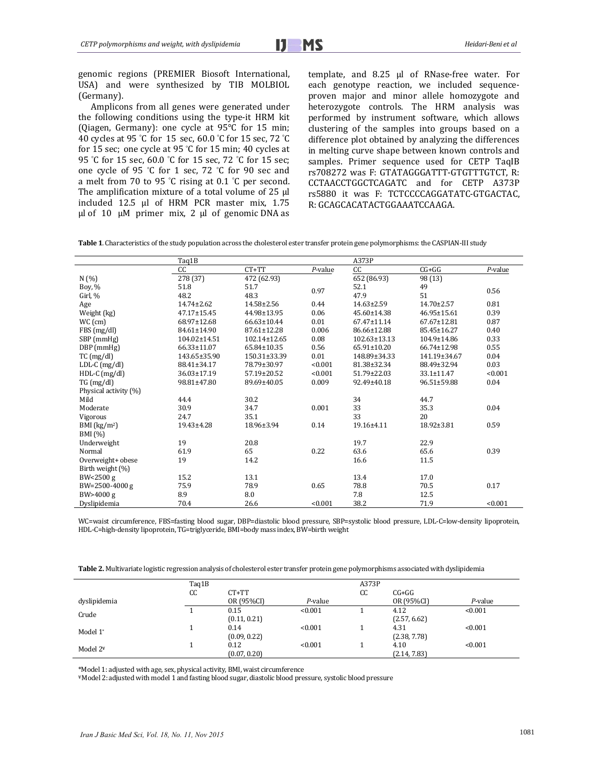genomic regions (PREMIER Biosoft International, USA) and were synthesized by TIB MOLBIOL (Germany). 

Amplicons from all genes were generated under the following conditions using the type-it HRM kit (Oiagen, Germany): one cycle at  $95^{\circ}$ C for 15 min; 40 cycles at 95 °C for 15 sec, 60.0 °C for 15 sec, 72 °C for 15 sec; one cycle at 95 °C for 15 min; 40 cycles at 95 °C for 15 sec, 60.0 °C for 15 sec, 72 °C for 15 sec; one cycle of 95 °C for 1 sec, 72 °C for 90 sec and  $_{rs708}$ a melt from 70 to 95 °C rising at 0.1 °C per second. The amplification mixture of a total volume of  $25 \mu$ included  $12.5$  µl of HRM PCR master mix,  $1.75$ μl of  $10$  μM primer mix,  $2$  μl of genomic DNA as

template, and 8.25 µl of RNase-free water. For each genotype reaction, we included sequenceproven major and minor allele homozygote and heterozygote controls. The HRM analysis was performed by instrument software, which allows clustering of the samples into groups based on a difference plot obtained by analyzing the differences in melting curve shape between known controls and samples. Primer sequence used for CETP TaqIB rs708272 was F: GTATAGGGATTT-GTGTTTGTCT, R: CCTAACCTGGCTCAGATC and for CETP A373P rs5880 it was F: TCTCCCCAGGATATC‐GTGACTAC, R: GCAGCACATACTGGAAATCCAAGA.

Table 1. Characteristics of the study population across the cholesterol ester transfer protein gene polymorphisms: the CASPIAN-III study

|                       | Taq1B              |              |         | A373P              |                  |         |  |
|-----------------------|--------------------|--------------|---------|--------------------|------------------|---------|--|
|                       | CC                 | $CT+TT$      | P-value | cc                 | $CG+GG$          | P-value |  |
| N(%                   | 278 (37)           | 472 (62.93)  |         | 652 (86.93)        | 98 (13)          |         |  |
| Boy, %                | 51.8               | 51.7         | 0.97    | 52.1               | 49               | 0.56    |  |
| Girl, %               | 48.2               | 48.3         |         | 47.9               | 51               |         |  |
| Age                   | 14.74±2.62         | 14.58±2.56   | 0.44    | 14.63±2.59         | $14.70 \pm 2.57$ | 0.81    |  |
| Weight (kg)           | 47.17±15.45        | 44.98±13.95  | 0.06    | 45.60±14.38        | 46.95±15.61      | 0.39    |  |
| $WC$ (cm)             | 68.97±12.68        | 66.63±10.44  | 0.01    | 67.47±11.14        | 67.67±12.81      | 0.87    |  |
| FBS (mg/dl)           | 84.61±14.90        | 87.61±12.28  | 0.006   | 86.66±12.88        | 85.45±16.27      | 0.40    |  |
| SBP (mmHg)            | $104.02 \pm 14.51$ | 102.14±12.65 | 0.08    | $102.63 \pm 13.13$ | 104.9±14.86      | 0.33    |  |
| $DBP$ (mmHg)          | 66.33±11.07        | 65.84±10.35  | 0.56    | 65.91±10.20        | 66.74±12.98      | 0.55    |  |
| $TC$ (mg/dl)          | 143.65±35.90       | 150.31±33.39 | 0.01    | 148.89±34.33       | 141.19±34.67     | 0.04    |  |
| $LDL-C (mg/dl)$       | 88.41±34.17        | 78.79±30.97  | < 0.001 | 81.38±32.34        | 88.49±32.94      | 0.03    |  |
| $HDL-C$ (mg/dl)       | 36.03±17.19        | 57.19±20.52  | < 0.001 | 51.79±22.03        | 33.1±11.47       | < 0.001 |  |
| TG (mg/dl)            | 98.81±47.80        | 89.69±40.05  | 0.009   | 92.49±40.18        | 96.51±59.88      | 0.04    |  |
| Physical activity (%) |                    |              |         |                    |                  |         |  |
| Mild                  | 44.4               | 30.2         |         | 34                 | 44.7             |         |  |
| Moderate              | 30.9               | 34.7         | 0.001   | 33                 | 35.3             | 0.04    |  |
| Vigorous              | 24.7               | 35.1         |         | 33                 | 20               |         |  |
| BMI $(kg/m2)$         | 19.43±4.28         | 18.96±3.94   | 0.14    | 19.16±4.11         | 18.92±3.81       | 0.59    |  |
| BMI (%)               |                    |              |         |                    |                  |         |  |
| Underweight           | 19                 | 20.8         |         | 19.7               | 22.9             |         |  |
| Normal                | 61.9               | 65           | 0.22    | 63.6               | 65.6             | 0.39    |  |
| Overweight+ obese     | 19                 | 14.2         |         | 16.6               | 11.5             |         |  |
| Birth weight (%)      |                    |              |         |                    |                  |         |  |
| BW<2500 g             | 15.2               | 13.1         |         | 13.4               | 17.0             |         |  |
| BW=2500-4000 g        | 75.9               | 78.9         | 0.65    | 78.8               | 70.5             | 0.17    |  |
| BW>4000 g             | 8.9                | 8.0          |         | 7.8                | 12.5             |         |  |
| Dyslipidemia          | 70.4               | 26.6         | < 0.001 | 38.2               | 71.9             | < 0.001 |  |

WC=waist circumference, FBS=fasting blood sugar, DBP=diastolic blood pressure, SBP=systolic blood pressure, LDL-C=low-density lipoprotein, HDL-C=high-density lipoprotein, TG=triglyceride, BMI=body mass index, BW=birth weight

|              | Taq1B |                      |         | A373P |                      |         |
|--------------|-------|----------------------|---------|-------|----------------------|---------|
|              | CC    | $CT+TT$              |         | CC    | $CG+GG$              |         |
| dyslipidemia |       | OR (95%CI)           | P-value |       | OR (95%CI)           | P-value |
| Crude        |       | 0.15<br>(0.11, 0.21) | < 0.001 |       | 4.12<br>(2.57, 6.62) | < 0.001 |
| Model 1*     |       | 0.14<br>(0.09, 0.22) | < 0.001 |       | 4.31<br>(2.38, 7.78) | < 0.001 |
| Model $2^*$  |       | 0.12<br>(0.07, 0.20) | < 0.001 |       | 4.10<br>(2.14, 7.83) | < 0.001 |

\*Model 1: adjusted with age, sex, physical activity, BMI, waist circumference

¥ Model 2:adjusted with model 1 and fasting blood sugar, diastolic blood pressure, systolic blood pressure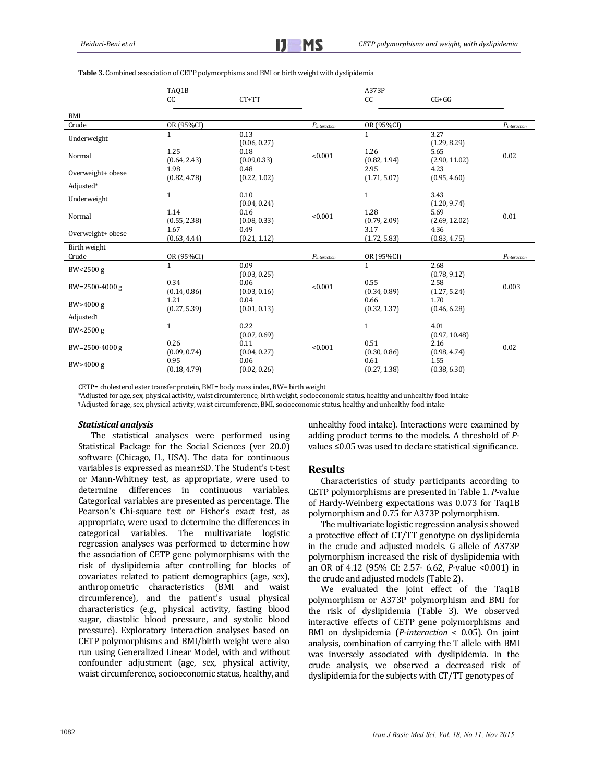|                          | TAQ1B                |                      |                             | A373P                |                       |                   |
|--------------------------|----------------------|----------------------|-----------------------------|----------------------|-----------------------|-------------------|
|                          | CC                   | $CT+TT$              |                             | cc                   | $CG+GG$               |                   |
| <b>BMI</b>               |                      |                      |                             |                      |                       |                   |
| Crude                    | OR (95%CI)           |                      | $\mathcal{P}_{interaction}$ | OR (95%CI)           |                       | $P_{interaction}$ |
| Underweight              | $\mathbf{1}$         | 0.13<br>(0.06, 0.27) |                             | $\mathbf 1$          | 3.27<br>(1.29, 8.29)  |                   |
| Normal                   | 1.25<br>(0.64, 2.43) | 0.18<br>(0.09, 0.33) | < 0.001                     | 1.26<br>(0.82, 1.94) | 5.65<br>(2.90, 11.02) | 0.02              |
| Overweight+ obese        | 1.98<br>(0.82, 4.78) | 0.48<br>(0.22, 1.02) |                             | 2.95<br>(1.71, 5.07) | 4.23<br>(0.95, 4.60)  |                   |
| Adjusted*<br>Underweight | $1\,$                | 0.10<br>(0.04, 0.24) |                             | $\mathbf{1}$         | 3.43<br>(1.20, 9.74)  |                   |
| Normal                   | 1.14<br>(0.55, 2.38) | 0.16<br>(0.08, 0.33) | < 0.001                     | 1.28<br>(0.79, 2.09) | 5.69<br>(2.69, 12.02) | 0.01              |
| Overweight+ obese        | 1.67<br>(0.63, 4.44) | 0.49<br>(0.21, 1.12) |                             | 3.17<br>(1.72, 5.83) | 4.36<br>(0.83, 4.75)  |                   |
| Birth weight             |                      |                      |                             |                      |                       |                   |
| Crude                    | OR (95%CI)           |                      | $P_{interaction}$           | OR (95%CI)           |                       | $P_{interaction}$ |
| BW<2500 g                | $\mathbf{1}$         | 0.09<br>(0.03, 0.25) |                             | $\mathbf 1$          | 2.68<br>(0.78, 9.12)  |                   |
| BW=2500-4000 g           | 0.34<br>(0.14, 0.86) | 0.06<br>(0.03, 0.16) | < 0.001                     | 0.55<br>(0.34, 0.89) | 2.58<br>(1.27, 5.24)  | 0.003             |
| BW>4000 g                | 1.21<br>(0.27, 5.39) | 0.04<br>(0.01, 0.13) |                             | 0.66<br>(0.32, 1.37) | 1.70<br>(0.46, 6.28)  |                   |
| Adjusted <sup>®</sup>    |                      |                      |                             |                      |                       |                   |
| BW<2500 g                | $\mathbf{1}$         | 0.22<br>(0.07, 0.69) |                             | 1                    | 4.01<br>(0.97, 10.48) |                   |
| BW=2500-4000 g           | 0.26<br>(0.09, 0.74) | 0.11<br>(0.04, 0.27) | < 0.001                     | 0.51<br>(0.30, 0.86) | 2.16<br>(0.98, 4.74)  | 0.02              |
| BW>4000 g                | 0.95<br>(0.18, 4.79) | 0.06<br>(0.02, 0.26) |                             | 0.61<br>(0.27, 1.38) | 1.55<br>(0.38, 6.30)  |                   |

**Table 3.** Combined association of CETP polymorphisms and BMI or birth weight with dyslipidemia

CETP= cholesterol ester transfer protein, BMI= body mass index, BW= birth weight

\*Adjusted for age, sex, physical activity, waist circumference, birth weight, socioeconomic status, healthy and unhealthy food intake

¶ Adjusted for age, sex, physical activity, waist circumference, BMI, socioeconomic status, healthy and unhealthy food intake 

#### *Statistical analysis*

The statistical analyses were performed using Statistical Package for the Social Sciences (ver 20.0) software (Chicago, IL, USA). The data for continuous variables is expressed as mean±SD. The Student's t-test or Mann-Whitney test, as appropriate, were used to determine differences in continuous variables. Categorical variables are presented as percentage. The Pearson's Chi-square test or Fisher's exact test, as appropriate, were used to determine the differences in categorical variables. The multivariate logistic regression analyses was performed to determine how the association of CETP gene polymorphisms with the risk of dyslipidemia after controlling for blocks of covariates related to patient demographics (age, sex), anthropometric characteristics (BMI and waist circumference), and the patient's usual physical characteristics (e.g., physical activity, fasting blood sugar, diastolic blood pressure, and systolic blood pressure). Exploratory interaction analyses based on CETP polymorphisms and BMI/birth weight were also run using Generalized Linear Model, with and without confounder adjustment (age, sex, physical activity, waist circumference, socioeconomic status, healthy, and unhealthy food intake). Interactions were examined by adding product terms to the models. A threshold of *P*values ≤0.05 was used to declare statistical significance.

#### **Results**

Characteristics of study participants according to CETP polymorphisms are presented in Table 1. *P*-value of Hardy-Weinberg expectations was 0.073 for Taq1B polymorphism and 0.75 for A373P polymorphism.

The multivariate logistic regression analysis showed a protective effect of CT/TT genotype on dyslipidemia in the crude and adjusted models. G allele of A373P polymorphism increased the risk of dyslipidemia with an OR of 4.12 (95% CI: 2.57- 6.62, *P*-value <0.001) in the crude and adjusted models (Table 2).

We evaluated the joint effect of the Taq1B polymorphism or A373P polymorphism and BMI for the risk of dyslipidemia (Table 3). We observed interactive effects of CETP gene polymorphisms and BMI on dyslipidemia (*P*-interaction < 0.05). On joint analysis, combination of carrying the T allele with BMI was inversely associated with dyslipidemia. In the crude analysis, we observed a decreased risk of dyslipidemia for the subjects with CT/TT genotypes of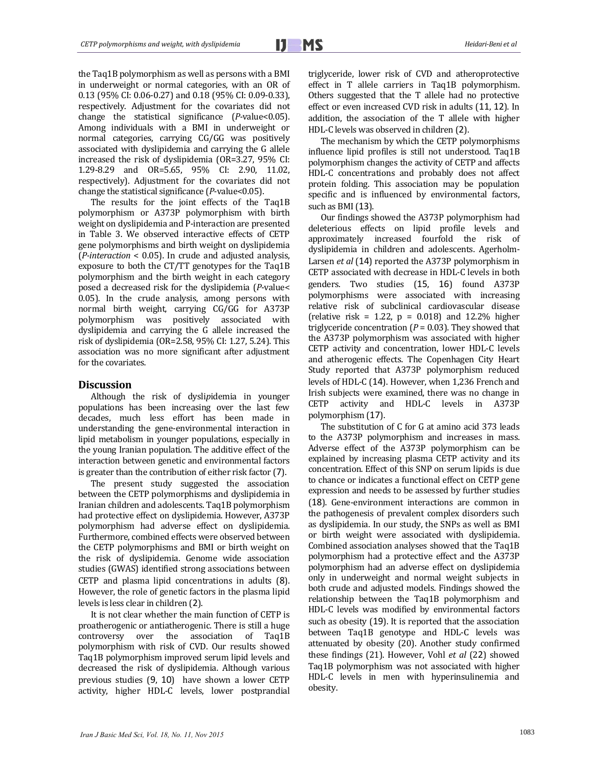the Taq1B polymorphism as well as persons with a BMI in underweight or normal categories, with an OR of 0.13 (95% CI: 0.06-0.27) and 0.18 (95% CI: 0.09-0.33), respectively. Adjustment for the covariates did not change the statistical significance (*P*-value<0.05). Among individuals with a BMI in underweight or normal categories, carrying CG/GG was positively associated with dyslipidemia and carrying the G allele increased the risk of dyslipidemia (OR=3.27, 95% CI: 1.29‐8.29 and OR=5.65, 95% CI: 2.90, 11.02, respectively). Adjustment for the covariates did not change the statistical significance (*P*-value<0.05).

The results for the joint effects of the Taq1B polymorphism or A373P polymorphism with birth weight on dyslipidemia and P-interaction are presented in Table 3. We observed interactive effects of CETP gene polymorphisms and birth weight on dyslipidemia (*P*-interaction < 0.05). In crude and adjusted analysis, exposure to both the  $CT/TT$  genotypes for the Taq1B polymorphism and the birth weight in each category posed a decreased risk for the dyslipidemia (*P*-value< 0.05). In the crude analysis, among persons with normal birth weight, carrying CG/GG for A373P polymorphism was positively associated with dyslipidemia and carrying the G allele increased the risk of dyslipidemia  $(OR=2.58, 95\%$  CI: 1.27, 5.24). This association was no more significant after adjustment for the covariates.

## **Discussion**

Although the risk of dysli*p*idemia in younger populations has been increasing over the last few decades, much less effort has been made in understanding the gene-environmental interaction in lipid metabolism in younger populations, especially in the young Iranian population. The additive effect of the interaction between genetic and environmental factors is greater than the contribution of either risk factor  $(7)$ .

The present study suggested the association between the CETP polymorphisms and dyslipidemia in Iranian children and adolescents. Taq1B polymorphism had protective effect on dyslipidemia. However, A373P polymorphism had adverse effect on dyslipidemia. Furthermore, combined effects were observed between the CETP polymorphisms and BMI or birth weight on the risk of dyslipidemia. Genome wide association studies (GWAS) identified strong associations between CETP and plasma lipid concentrations in adults (8). However, the role of genetic factors in the plasma lipid levels is less clear in children (2).

It is not clear whether the main function of CETP is proatherogenic or antiatherogenic. There is still a huge controversy over the association of Taq1B polymorphism with risk of CVD. Our results showed Taq1B polymorphism improved serum lipid levels and decreased the risk of dyslipidemia. Although various previous studies  $(9, 10)$  have shown a lower CETP activity, higher HDL-C levels, lower postprandial triglyceride, lower risk of CVD and atheroprotective effect in T allele carriers in Taq1B polymorphism. Others suggested that the T allele had no protective effect or even increased CVD risk in adults (11, 12). In addition, the association of the T allele with higher HDL-C levels was observed in children (2).

The mechanism by which the CETP polymorphisms influence lipid profiles is still not understood. Taq1B polymorphism changes the activity of CETP and affects HDL-C concentrations and probably does not affect protein folding. This association may be population specific and is influenced by environmental factors, such as BMI (13).

Our findings showed the A373P polymorphism had deleterious effects on lipid profile levels and approximately increased fourfold the risk of dyslipidemia in children and adolescents. Agerholm-Larsen *et al* (14) reported the A373P polymorphism in CETP associated with decrease in HDL-C levels in both genders. Two studies (15, 16) found A373P polymorphisms were associated with increasing relative risk of subclinical cardiovascular disease (relative risk = 1.22,  $p = 0.018$ ) and 12.2% higher triglyceride concentration  $(P = 0.03)$ . They showed that the A373P polymorphism was associated with higher CETP activity and concentration, lower HDL-C levels and atherogenic effects. The Copenhagen City Heart Study reported that A373P polymorphism reduced levels of HDL-C (14). However, when 1,236 French and Irish subjects were examined, there was no change in CETP activity and HDL-C levels in A373P polymorphism (17). 

The substitution of C for G at amino acid 373 leads to the A373P polymorphism and increases in mass. Adverse effect of the A373P polymorphism can be explained by increasing plasma CETP activity and its concentration. Effect of this SNP on serum lipids is due to chance or indicates a functional effect on CETP gene expression and needs to be assessed by further studies (18). Gene‐environment interactions are common in the pathogenesis of prevalent complex disorders such as dyslipidemia. In our study, the SNPs as well as BMI or birth weight were associated with dyslipidemia. Combined association analyses showed that the Taq1B polymorphism had a protective effect and the A373P polymorphism had an adverse effect on dyslipidemia only in underweight and normal weight subjects in both crude and adjusted models. Findings showed the relationship between the Taq1B polymorphism and HDL-C levels was modified by environmental factors such as obesity (19). It is reported that the association between Taq1B genotype and HDL-C levels was attenuated by obesity (20). Another study confirmed these findings (21). However, Vohl *et al* (22) showed Taq1B polymorphism was not associated with higher HDL-C levels in men with hyperinsulinemia and obesity.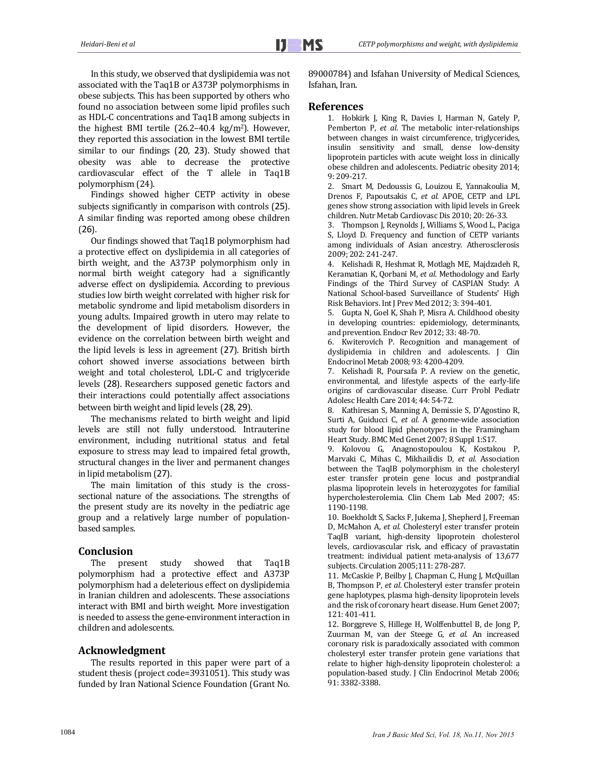In this study, we observed that dyslipidemia was not associated with the Taq1B or A373P polymorphisms in obese subjects. This has been supported by others who found no association between some lipid profiles such as HDL-C concentrations and Taq1B among subjects in the highest BMI tertile  $(26.2-40.4 \text{ kg/m}^2)$ . However, they reported this association in the lowest BMI tertile similar to our findings (20, 23). Study showed that obesity was able to decrease the protective cardiovascular effect of the T allele in Taq1B polymorphism (24).

Findings showed higher CETP activity in obese subjects significantly in comparison with controls (25). A similar finding was reported among obese children (26). 

Our findings showed that Taq1B polymorphism had a protective effect on dyslipidemia in all categories of birth weight, and the A373P polymorphism only in normal birth weight category had a significantly adverse effect on dyslipidemia. According to previous studies low birth weight correlated with higher risk for metabolic syndrome and lipid metabolism disorders in young adults. Impaired growth in utero may relate to the development of lipid disorders. However, the evidence on the correlation between birth weight and the lipid levels is less in agreement  $(27)$ . British birth cohort showed inverse associations between birth weight and total cholesterol, LDL-C and triglyceride levels (28). Researchers supposed genetic factors and their interactions could potentially affect associations between birth weight and lipid levels (28, 29).

The mechanisms related to birth weight and lipid levels are still not fully understood. Intrauterine environment, including nutritional status and fetal exposure to stress may lead to impaired fetal growth, structural changes in the liver and permanent changes in lipid metabolism (27).

The main limitation of this study is the crosssectional nature of the associations. The strengths of the present study are its novelty in the pediatric age group and a relatively large number of populationbased samples.

## **Conclusion**

The present study showed that Taq1B polymorphism had a protective effect and A373P polymorphism had a deleterious effect on dyslipidemia in Iranian children and adolescents. These associations interact with BMI and birth weight. More investigation is needed to assess the gene-environment interaction in children and adolescents.

## **Acknowledgment**

The results reported in this paper were part of a student thesis (project code=3931051). This study was funded by Iran National Science Foundation (Grant No. 89000784) and Isfahan University of Medical Sciences, Isfahan, Iran.

### **References**

1. Hobkirk J, King R, Davies J, Harman N, Gately P, Pemberton P, et al. The metabolic inter-relationships between changes in waist circumference, triglycerides, insulin sensitivity and small, dense low-density lipoprotein particles with acute weight loss in clinically obese children and adolescents. Pediatric obesity 2014; 9: 209‐217. 

2. Smart M, Dedoussis G, Louizou E, Yannakoulia M, Drenos F, Papoutsakis C, et al. APOE, CETP and LPL genes show strong association with lipid levels in Greek children. Nutr Metab Cardiovasc Dis 2010; 20: 26-33.

3. Thompson J, Reynolds J, Williams S, Wood L, Paciga S, Lloyd D. Frequency and function of CETP variants among individuals of Asian ancestry. Atherosclerosis 2009: 202: 241-247.

4. Kelishadi R, Heshmat R, Motlagh ME, Majdzadeh R, Keramatian K, Oorbani M, *et al*. Methodology and Early Findings of the Third Survey of CASPIAN Study: A National School-based Surveillance of Students' High Risk Behaviors. Int J Prev Med 2012; 3: 394-401.

5. Gupta N, Goel K, Shah P, Misra A. Childhood obesity in developing countries: epidemiology, determinants, and prevention. Endocr Rev 2012; 33: 48-70.

6. Kwiterovich P. Recognition and management of dyslipidemia in children and adolescents. J Clin Endocrinol Metab 2008; 93: 4200-4209.

7. Kelishadi R, Poursafa P. A review on the genetic, environmental, and lifestyle aspects of the early-life origins of cardiovascular disease. Curr Probl Pediatr Adolesc Health Care 2014; 44: 54-72.

8. Kathiresan S, Manning A, Demissie S, D'Agostino R, Surti A, Guiducci C, et al. A genome-wide association study for blood lipid phenotypes in the Framingham Heart Study. BMC Med Genet 2007; 8 Suppl 1:S17.

9. Kolovou G, Anagnostopoulou K, Kostakou P, Marvaki C, Mihas C, Mikhailidis D, et al. Association between the TaqIB polymorphism in the cholesteryl ester transfer protein gene locus and postprandial plasma lipoprotein levels in heterozygotes for familial hypercholesterolemia. Clin Chem Lab Med 2007; 45: 1190‐1198. 

10. Boekholdt S, Sacks F, Jukema J, Shepherd J, Freeman D, McMahon A, et al. Cholesteryl ester transfer protein TaqIB variant, high-density lipoprotein cholesterol levels, cardiovascular risk, and efficacy of pravastatin treatment: individual patient meta-analysis of 13,677 subjects. Circulation 2005;111: 278-287.

11. McCaskie P, Beilby J, Chapman C, Hung J, McQuillan B, Thompson P, et al. Cholesteryl ester transfer protein gene haplotypes, plasma high-density lipoprotein levels and the risk of coronary heart disease. Hum Genet 2007; 121: 401‐411. 

12. Borggreve S, Hillege H, Wolffenbuttel B, de Jong P, Zuurman M, van der Steege G, et al. An increased coronary risk is paradoxically associated with common cholesteryl ester transfer protein gene variations that relate to higher high-density lipoprotein cholesterol: a population-based study. J Clin Endocrinol Metab 2006; 91: 3382‐3388.